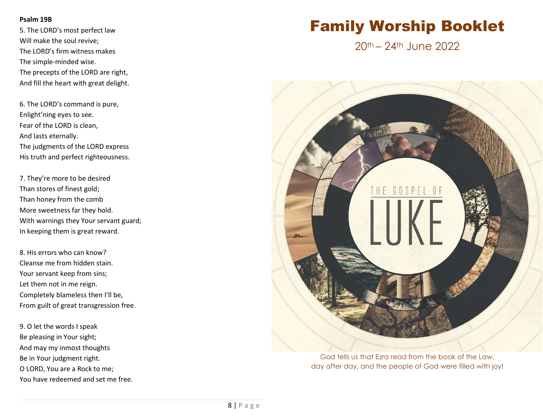# Psalm 19B

5. The LORD's most perfect law Will make the soul revive; The LORD's firm witness makes The simple-minded wise. The precepts of the LORD are right, And fill the heart with great delight.

6. The LORD's command is pure, Enlight'ning eyes to see. Fear of the LORD is clean, And lasts eternally. The judgments of the LORD express His truth and perfect righteousness.

7. They're more to be desired Than stores of finest gold; Than honey from the comb More sweetness far they hold. With warnings they Your servant guard; In keeping them is great reward.

8. His errors who can know? Cleanse me from hidden stain. Your servant keep from sins; Let them not in me reign. Completely blameless then I'll be, From guilt of great transgression free.

9. O let the words I speak Be pleasing in Your sight; And may my inmost thoughts Be in Your judgment right. O LORD, You are a Rock to me; You have redeemed and set me free.

# Family Worship Booklet

20th – 24th June 2022



God tells us that Ezra read from the book of the Law, day after day, and the people of God were filled with joy!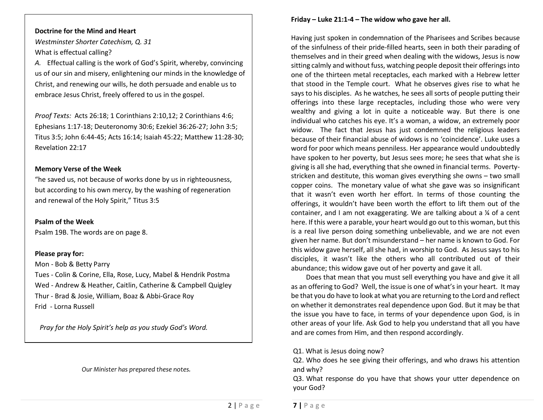#### Doctrine for the Mind and Heart

Westminster Shorter Catechism, Q. 31 What is effectual calling?

A. Effectual calling is the work of God's Spirit, whereby, convincing us of our sin and misery, enlightening our minds in the knowledge of Christ, and renewing our wills, he doth persuade and enable us to embrace Jesus Christ, freely offered to us in the gospel.

Proof Texts: Acts 26:18; 1 Corinthians 2:10,12; 2 Corinthians 4:6; Ephesians 1:17-18; Deuteronomy 30:6; Ezekiel 36:26-27; John 3:5; Titus 3:5; John 6:44-45; Acts 16:14; Isaiah 45:22; Matthew 11:28-30; Revelation 22:17

## Memory Verse of the Week

"he saved us, not because of works done by us in righteousness, but according to his own mercy, by the washing of regeneration and renewal of the Holy Spirit," Titus 3:5

# Psalm of the Week

Psalm 19B. The words are on page 8.

## Please pray for:

Mon - Bob & Betty Parry Tues - Colin & Corine, Ella, Rose, Lucy, Mabel & Hendrik Postma Wed - Andrew & Heather, Caitlin, Catherine & Campbell Quigley Thur - Brad & Josie, William, Boaz & Abbi-Grace Roy Frid - Lorna Russell

Pray for the Holy Spirit's help as you study God's Word.

#### Our Minister has prepared these notes.

Friday – Luke 21:1-4 – The widow who gave her all.

Having just spoken in condemnation of the Pharisees and Scribes because of the sinfulness of their pride-filled hearts, seen in both their parading of themselves and in their greed when dealing with the widows, Jesus is now sitting calmly and without fuss, watching people deposit their offerings into one of the thirteen metal receptacles, each marked with a Hebrew letter that stood in the Temple court. What he observes gives rise to what he says to his disciples. As he watches, he sees all sorts of people putting their offerings into these large receptacles, including those who were very wealthy and giving a lot in quite a noticeable way. But there is one individual who catches his eye. It's a woman, a widow, an extremely poor widow. The fact that Jesus has just condemned the religious leaders because of their financial abuse of widows is no 'coincidence'. Luke uses a word for poor which means penniless. Her appearance would undoubtedly have spoken to her poverty, but Jesus sees more; he sees that what she is giving is all she had, everything that she owned in financial terms. Povertystricken and destitute, this woman gives everything she owns – two small copper coins. The monetary value of what she gave was so insignificant that it wasn't even worth her effort. In terms of those counting the offerings, it wouldn't have been worth the effort to lift them out of the container, and I am not exaggerating. We are talking about a ¼ of a cent here. If this were a parable, your heart would go out to this woman, but this is a real live person doing something unbelievable, and we are not even given her name. But don't misunderstand – her name is known to God. For this widow gave herself, all she had, in worship to God. As Jesus says to his disciples, it wasn't like the others who all contributed out of their abundance; this widow gave out of her poverty and gave it all.

Does that mean that you must sell everything you have and give it all as an offering to God? Well, the issue is one of what's in your heart. It may be that you do have to look at what you are returning to the Lord and reflect on whether it demonstrates real dependence upon God. But it may be that the issue you have to face, in terms of your dependence upon God, is in other areas of your life. Ask God to help you understand that all you have and are comes from Him, and then respond accordingly.

## Q1. What is Jesus doing now?

Q2. Who does he see giving their offerings, and who draws his attention and why?

Q3. What response do you have that shows your utter dependence on your God?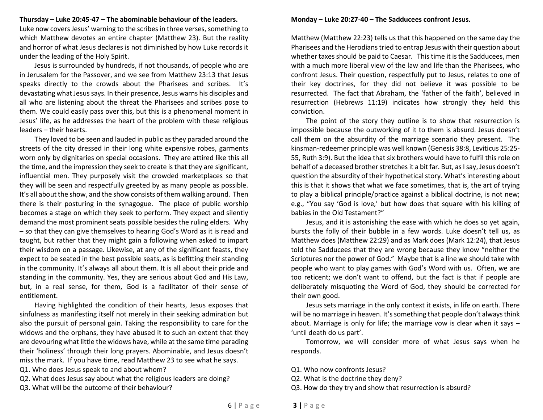## Thursday – Luke 20:45-47 – The abominable behaviour of the leaders.

Luke now covers Jesus' warning to the scribes in three verses, something to which Matthew devotes an entire chapter (Matthew 23). But the reality and horror of what Jesus declares is not diminished by how Luke records it under the leading of the Holy Spirit.

 Jesus is surrounded by hundreds, if not thousands, of people who are in Jerusalem for the Passover, and we see from Matthew 23:13 that Jesus speaks directly to the crowds about the Pharisees and scribes. It's devastating what Jesus says. In their presence, Jesus warns his disciples and all who are listening about the threat the Pharisees and scribes pose to them. We could easily pass over this, but this is a phenomenal moment in Jesus' life, as he addresses the heart of the problem with these religious leaders – their hearts.

They loved to be seen and lauded in public as they paraded around the streets of the city dressed in their long white expensive robes, garments worn only by dignitaries on special occasions. They are attired like this all the time, and the impression they seek to create is that they are significant, influential men. They purposely visit the crowded marketplaces so that they will be seen and respectfully greeted by as many people as possible. It's all about the show, and the show consists of them walking around. Then there is their posturing in the synagogue. The place of public worship becomes a stage on which they seek to perform. They expect and silently demand the most prominent seats possible besides the ruling elders. Why – so that they can give themselves to hearing God's Word as it is read and taught, but rather that they might gain a following when asked to impart their wisdom on a passage. Likewise, at any of the significant feasts, they expect to be seated in the best possible seats, as is befitting their standing in the community. It's always all about them. It is all about their pride and standing in the community. Yes, they are serious about God and His Law, but, in a real sense, for them, God is a facilitator of their sense of entitlement.

Having highlighted the condition of their hearts, Jesus exposes that sinfulness as manifesting itself not merely in their seeking admiration but also the pursuit of personal gain. Taking the responsibility to care for the widows and the orphans, they have abused it to such an extent that they are devouring what little the widows have, while at the same time parading their 'holiness' through their long prayers. Abominable, and Jesus doesn't miss the mark. If you have time, read Matthew 23 to see what he says. Q1. Who does Jesus speak to and about whom?

Q2. What does Jesus say about what the religious leaders are doing?

Q3. What will be the outcome of their behaviour?

## Monday – Luke 20:27-40 – The Sadducees confront Jesus.

Matthew (Matthew 22:23) tells us that this happened on the same day the Pharisees and the Herodians tried to entrap Jesus with their question about whether taxes should be paid to Caesar. This time it is the Sadducees, men with a much more liberal view of the law and life than the Pharisees, who confront Jesus. Their question, respectfully put to Jesus, relates to one of their key doctrines, for they did not believe it was possible to be resurrected. The fact that Abraham, the 'father of the faith', believed in resurrection (Hebrews 11:19) indicates how strongly they held this conviction.

 The point of the story they outline is to show that resurrection is impossible because the outworking of it to them is absurd. Jesus doesn't call them on the absurdity of the marriage scenario they present. The kinsman-redeemer principle was well known (Genesis 38:8, Leviticus 25:25- 55, Ruth 3:9). But the idea that six brothers would have to fulfil this role on behalf of a deceased brother stretches it a bit far. But, as I say, Jesus doesn't question the absurdity of their hypothetical story. What's interesting about this is that it shows that what we face sometimes, that is, the art of trying to play a biblical principle/practice against a biblical doctrine, is not new; e.g., "You say 'God is love,' but how does that square with his killing of babies in the Old Testament?"

 Jesus, and it is astonishing the ease with which he does so yet again, bursts the folly of their bubble in a few words. Luke doesn't tell us, as Matthew does (Matthew 22:29) and as Mark does (Mark 12:24), that Jesus told the Sadducees that they are wrong because they know "neither the Scriptures nor the power of God." Maybe that is a line we should take with people who want to play games with God's Word with us. Often, we are too reticent; we don't want to offend, but the fact is that if people are deliberately misquoting the Word of God, they should be corrected for their own good.

 Jesus sets marriage in the only context it exists, in life on earth. There will be no marriage in heaven. It's something that people don't always think about. Marriage is only for life; the marriage vow is clear when it says – 'until death do us part'.

Tomorrow, we will consider more of what Jesus says when he responds.

Q1. Who now confronts Jesus?

Q2. What is the doctrine they deny?

Q3. How do they try and show that resurrection is absurd?